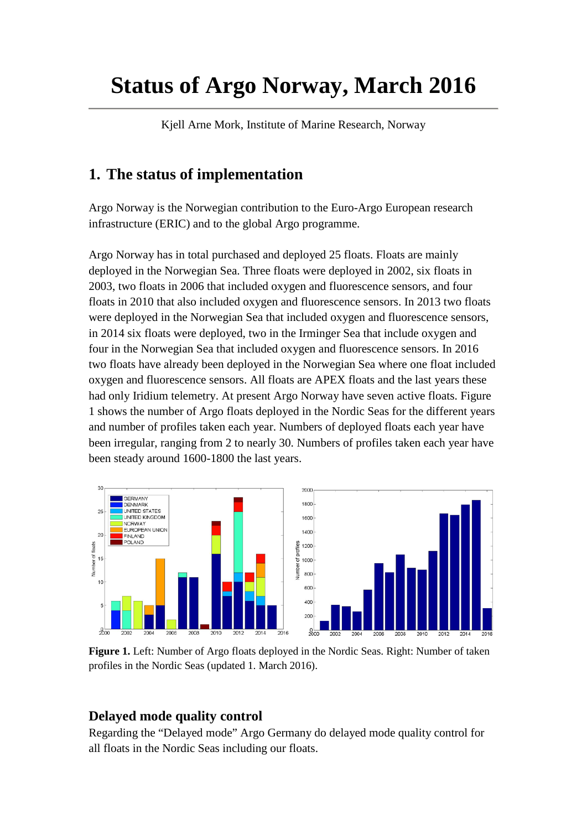# **Status of Argo Norway, March 2016**

Kjell Arne Mork, Institute of Marine Research, Norway

### **1. The status of implementation**

Argo Norway is the Norwegian contribution to the Euro-Argo European research infrastructure (ERIC) and to the global Argo programme.

Argo Norway has in total purchased and deployed 25 floats. Floats are mainly deployed in the Norwegian Sea. Three floats were deployed in 2002, six floats in 2003, two floats in 2006 that included oxygen and fluorescence sensors, and four floats in 2010 that also included oxygen and fluorescence sensors. In 2013 two floats were deployed in the Norwegian Sea that included oxygen and fluorescence sensors, in 2014 six floats were deployed, two in the Irminger Sea that include oxygen and four in the Norwegian Sea that included oxygen and fluorescence sensors. In 2016 two floats have already been deployed in the Norwegian Sea where one float included oxygen and fluorescence sensors. All floats are APEX floats and the last years these had only Iridium telemetry. At present Argo Norway have seven active floats. Figure 1 shows the number of Argo floats deployed in the Nordic Seas for the different years and number of profiles taken each year. Numbers of deployed floats each year have been irregular, ranging from 2 to nearly 30. Numbers of profiles taken each year have been steady around 1600-1800 the last years.



**Figure 1.** Left: Number of Argo floats deployed in the Nordic Seas. Right: Number of taken profiles in the Nordic Seas (updated 1. March 2016).

#### **Delayed mode quality control**

Regarding the "Delayed mode" Argo Germany do delayed mode quality control for all floats in the Nordic Seas including our floats.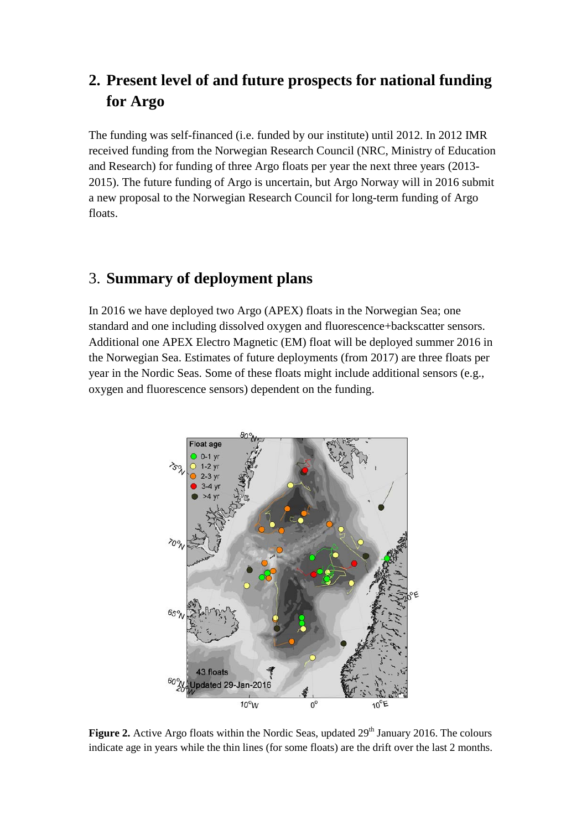### **2. Present level of and future prospects for national funding for Argo**

The funding was self-financed (i.e. funded by our institute) until 2012. In 2012 IMR received funding from the Norwegian Research Council (NRC, Ministry of Education and Research) for funding of three Argo floats per year the next three years (2013- 2015). The future funding of Argo is uncertain, but Argo Norway will in 2016 submit a new proposal to the Norwegian Research Council for long-term funding of Argo floats.

### 3. **Summary of deployment plans**

In 2016 we have deployed two Argo (APEX) floats in the Norwegian Sea; one standard and one including dissolved oxygen and fluorescence+backscatter sensors. Additional one APEX Electro Magnetic (EM) float will be deployed summer 2016 in the Norwegian Sea. Estimates of future deployments (from 2017) are three floats per year in the Nordic Seas. Some of these floats might include additional sensors (e.g., oxygen and fluorescence sensors) dependent on the funding.



**Figure 2.** Active Argo floats within the Nordic Seas, updated 29<sup>th</sup> January 2016. The colours indicate age in years while the thin lines (for some floats) are the drift over the last 2 months.